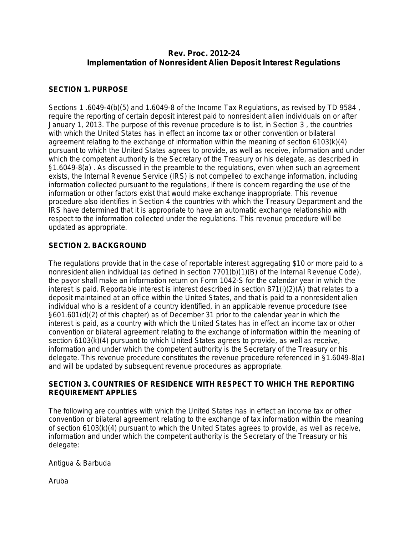# **Rev. Proc. 2012-24 Implementation of Nonresident Alien Deposit Interest Regulations**

### **SECTION 1. PURPOSE**

Sections 1 .6049-4(b)(5) and 1.6049-8 of the Income Tax Regulations, as revised by [TD 9584](javascript:void(0)) , require the reporting of certain deposit interest paid to nonresident alien individuals on or after January 1, 2013. The purpose of this revenue procedure is to list, in Section 3 , the countries with which the United States has in effect an income tax or other convention or bilateral agreement relating to the exchange of information within the meaning of [section 6103\(k\)\(4\)](javascript:void(0)) pursuant to which the United States agrees to provide, as well as receive, information and under which the competent authority is the Secretary of the Treasury or his delegate, as described in [§1.6049-8\(a\)](javascript:void(0)) . As discussed in the preamble to the regulations, even when such an agreement exists, the Internal Revenue Service (IRS) is not compelled to exchange information, including information collected pursuant to the regulations, if there is concern regarding the use of the information or other factors exist that would make exchange inappropriate. This revenue procedure also identifies in Section 4 the countries with which the Treasury Department and the IRS have determined that it is appropriate to have an automatic exchange relationship with respect to the information collected under the regulations. This revenue procedure will be updated as appropriate.

## **SECTION 2. BACKGROUND**

The regulations provide that in the case of reportable interest aggregating \$10 or more paid to a nonresident alien individual (as defined in [section 7701\(b\)\(1\)\(B\)](javascript:void(0)) of the Internal Revenue Code), the payor shall make an information return on Form 1042-S for the calendar year in which the interest is paid. Reportable interest is interest described in [section 871\(i\)\(2\)\(A\)](javascript:void(0)) that relates to a deposit maintained at an office within the United States, and that is paid to a nonresident alien individual who is a resident of a country identified, in an applicable revenue procedure (see §601.601(d)(2) of this chapter) as of December 31 prior to the calendar year in which the interest is paid, as a country with which the United States has in effect an income tax or other convention or bilateral agreement relating to the exchange of information within the meaning of [section 6103\(k\)\(4\)](javascript:void(0)) pursuant to which United States agrees to provide, as well as receive, information and under which the competent authority is the Secretary of the Treasury or his delegate. This revenue procedure constitutes the revenue procedure referenced in [§1.6049-8\(a\)](javascript:void(0)) and will be updated by subsequent revenue procedures as appropriate.

#### **SECTION 3. COUNTRIES OF RESIDENCE WITH RESPECT TO WHICH THE REPORTING REQUIREMENT APPLIES**

The following are countries with which the United States has in effect an income tax or other convention or bilateral agreement relating to the exchange of tax information within the meaning of [section 6103\(k\)\(4\)](javascript:void(0)) pursuant to which the United States agrees to provide, as well as receive, information and under which the competent authority is the Secretary of the Treasury or his delegate:

Antigua & Barbuda

Aruba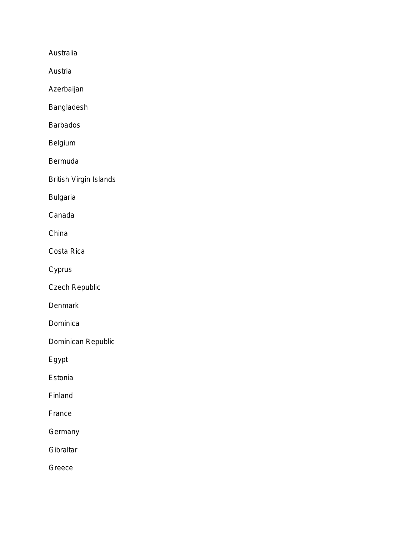Australia

Austria

Azerbaijan

Bangladesh

Barbados

Belgium

Bermuda

British Virgin Islands

Bulgaria

Canada

China

Costa Rica

Cyprus

Czech Republic

**Denmark** 

Dominica

Dominican Republic

Egypt

Estonia

Finland

France

**Germany** 

**Gibraltar** 

Greece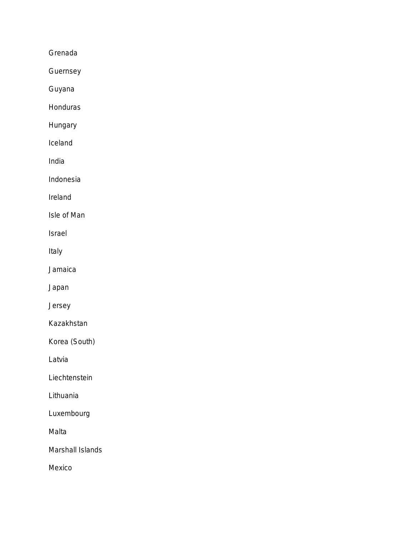Grenada

Guernsey

Guyana

**Honduras** 

Hungary

Iceland

India

Indonesia

Ireland

Isle of Man

Israel

Italy

Jamaica

Japan

Jersey

Kazakhstan

Korea (South)

Latvia

**Liechtenstein** 

Lithuania

Luxembourg

Malta

Marshall Islands

Mexico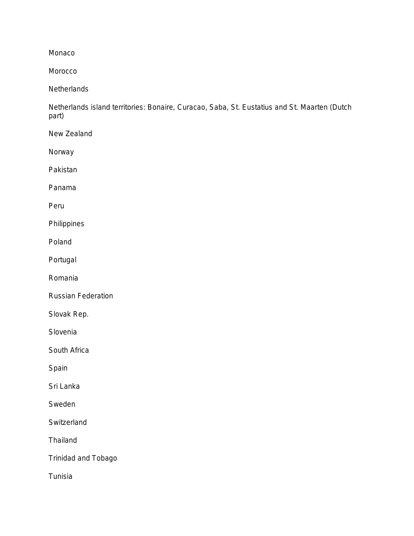Monaco

Morocco

**Netherlands** 

Netherlands island territories: Bonaire, Curacao, Saba, St. Eustatius and St. Maarten (Dutch part)

New Zealand

Norway

Pakistan

Panama

Peru

Philippines

Poland

Portugal

Romania

Russian Federation

Slovak Rep.

Slovenia

South Africa

Spain

Sri Lanka

Sweden

**Switzerland** 

Thailand

Trinidad and Tobago

Tunisia